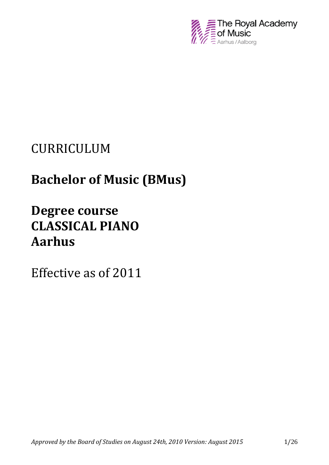

# CURRICULUM

# **Bachelor of Music (BMus)**

# **Degree course CLASSICAL PIANO Aarhus**

Effective as of 2011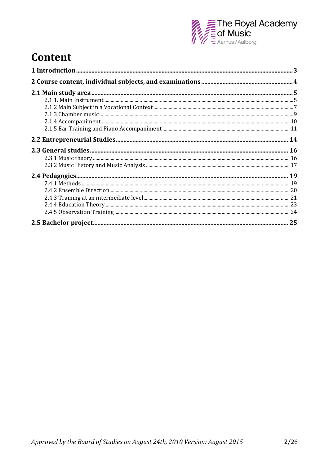

## **Content**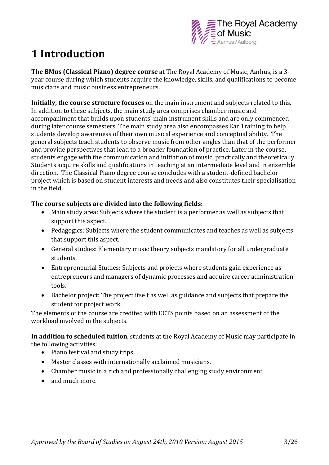

## **1 Introduction**

**The BMus (Classical Piano) degree course** at The Royal Academy of Music, Aarhus, is a 3 year course during which students acquire the knowledge, skills, and qualifications to become musicians and music business entrepreneurs.

**Initially, the course structure focuses** on the main instrument and subjects related to this. In addition to these subjects, the main study area comprises chamber music and accompaniment that builds upon students' main instrument skills and are only commenced during later course semesters. The main study area also encompasses Ear Training to help students develop awareness of their own musical experience and conceptual ability. The general subjects teach students to observe music from other angles than that of the performer and provide perspectives that lead to a broader foundation of practice. Later in the course, students engage with the communication and initiation of music, practically and theoretically. Students acquire skills and qualifications in teaching at an intermediate level and in ensemble direction. The Classical Piano degree course concludes with a student-defined bachelor project which is based on student interests and needs and also constitutes their specialisation in the field.

#### **The course subjects are divided into the following fields:**

- Main study area: Subjects where the student is a performer as well as subjects that support this aspect.
- Pedagogics: Subjects where the student communicates and teaches as well as subjects that support this aspect.
- General studies: Elementary music theory subjects mandatory for all undergraduate students.
- Entrepreneurial Studies: Subjects and projects where students gain experience as entrepreneurs and managers of dynamic processes and acquire career administration tools.
- Bachelor project: The project itself as well as guidance and subjects that prepare the student for project work.

The elements of the course are credited with ECTS points based on an assessment of the workload involved in the subjects.

**In addition to scheduled tuition**, students at the Royal Academy of Music may participate in the following activities:

- Piano festival and study trips.
- Master classes with internationally acclaimed musicians.
- Chamber music in a rich and professionally challenging study environment.
- and much more.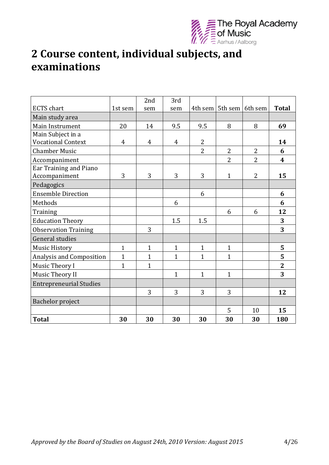

## **2 Course content, individual subjects, and examinations**

|                                |                | 2nd            | 3rd            |                |                             |                |                  |
|--------------------------------|----------------|----------------|----------------|----------------|-----------------------------|----------------|------------------|
| <b>ECTS</b> chart              | 1st sem        | sem            | sem            |                | 4th sem   5th sem   6th sem |                | <b>Total</b>     |
| Main study area                |                |                |                |                |                             |                |                  |
| Main Instrument                | 20             | 14             | 9.5            | 9.5            | 8                           | 8              | 69               |
| Main Subject in a              |                |                |                |                |                             |                |                  |
| <b>Vocational Context</b>      | 4              | $\overline{4}$ | $\overline{4}$ | $\overline{2}$ |                             |                | 14               |
| <b>Chamber Music</b>           |                |                |                | $\overline{2}$ | $\overline{2}$              | $\overline{2}$ | 6                |
| Accompaniment                  |                |                |                |                | $\overline{2}$              | $\overline{2}$ | $\boldsymbol{4}$ |
| Ear Training and Piano         |                |                |                |                |                             |                |                  |
| Accompaniment                  | 3              | 3              | 3              | 3              | $\mathbf{1}$                | $\overline{2}$ | 15               |
| Pedagogics                     |                |                |                |                |                             |                |                  |
| <b>Ensemble Direction</b>      |                |                |                | 6              |                             |                | 6                |
| Methods                        |                |                | 6              |                |                             |                | 6                |
| Training                       |                |                |                |                | 6                           | 6              | 12               |
| <b>Education Theory</b>        |                |                | 1.5            | 1.5            |                             |                | 3                |
| <b>Observation Training</b>    |                | 3              |                |                |                             |                | 3                |
| General studies                |                |                |                |                |                             |                |                  |
| <b>Music History</b>           | $\mathbf{1}$   | $\mathbf{1}$   | $\mathbf{1}$   | $\mathbf{1}$   | $\mathbf{1}$                |                | 5                |
| Analysis and Composition       | $\overline{1}$ | $\mathbf{1}$   | $\mathbf{1}$   | $\mathbf{1}$   | $\mathbf{1}$                |                | 5                |
| Music Theory I                 | $\mathbf{1}$   | $\mathbf{1}$   |                |                |                             |                | $\overline{2}$   |
| Music Theory II                |                |                | $\mathbf{1}$   | $\mathbf{1}$   | $\mathbf{1}$                |                | 3                |
| <b>Entrepreneurial Studies</b> |                |                |                |                |                             |                |                  |
|                                |                | 3              | 3              | 3              | 3                           |                | 12               |
| Bachelor project               |                |                |                |                |                             |                |                  |
|                                |                |                |                |                | 5                           | 10             | 15               |
| <b>Total</b>                   | 30             | 30             | 30             | 30             | 30                          | 30             | 180              |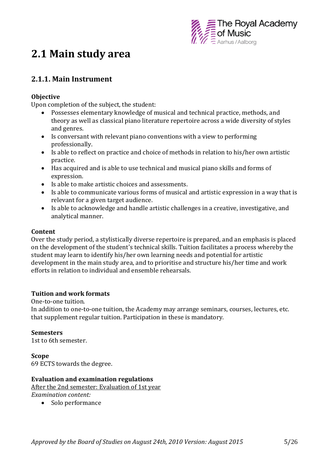

## **2.1 Main study area**

## **2.1.1. Main Instrument**

#### **Objective**

Upon completion of the subject, the student:

- Possesses elementary knowledge of musical and technical practice, methods, and theory as well as classical piano literature repertoire across a wide diversity of styles and genres.
- Is conversant with relevant piano conventions with a view to performing professionally.
- Is able to reflect on practice and choice of methods in relation to his/her own artistic practice.
- Has acquired and is able to use technical and musical piano skills and forms of expression.
- Is able to make artistic choices and assessments.
- Is able to communicate various forms of musical and artistic expression in a way that is relevant for a given target audience.
- Is able to acknowledge and handle artistic challenges in a creative, investigative, and analytical manner.

#### **Content**

Over the study period, a stylistically diverse repertoire is prepared, and an emphasis is placed on the development of the student's technical skills. Tuition facilitates a process whereby the student may learn to identify his/her own learning needs and potential for artistic development in the main study area, and to prioritise and structure his/her time and work efforts in relation to individual and ensemble rehearsals.

#### **Tuition and work formats**

One-to-one tuition.

In addition to one-to-one tuition, the Academy may arrange seminars, courses, lectures, etc. that supplement regular tuition. Participation in these is mandatory.

#### **Semesters**

1st to 6th semester.

**Scope** 69 ECTS towards the degree.

#### **Evaluation and examination regulations**

After the 2nd semester: Evaluation of 1st year *Examination content:*

• Solo performance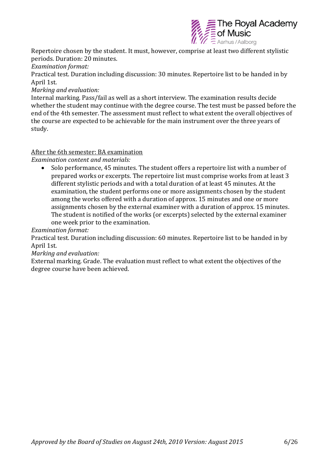

Repertoire chosen by the student. It must, however, comprise at least two different stylistic periods. Duration: 20 minutes.

*Examination format:*

Practical test. Duration including discussion: 30 minutes. Repertoire list to be handed in by April 1st.

*Marking and evaluation:*

Internal marking. Pass/fail as well as a short interview. The examination results decide whether the student may continue with the degree course. The test must be passed before the end of the 4th semester. The assessment must reflect to what extent the overall objectives of the course are expected to be achievable for the main instrument over the three years of study.

#### After the 6th semester: BA examination

*Examination content and materials:*

 Solo performance, 45 minutes. The student offers a repertoire list with a number of prepared works or excerpts. The repertoire list must comprise works from at least 3 different stylistic periods and with a total duration of at least 45 minutes. At the examination, the student performs one or more assignments chosen by the student among the works offered with a duration of approx. 15 minutes and one or more assignments chosen by the external examiner with a duration of approx. 15 minutes. The student is notified of the works (or excerpts) selected by the external examiner one week prior to the examination.

#### *Examination format:*

Practical test. Duration including discussion: 60 minutes. Repertoire list to be handed in by April 1st.

#### *Marking and evaluation:*

External marking. Grade. The evaluation must reflect to what extent the objectives of the degree course have been achieved.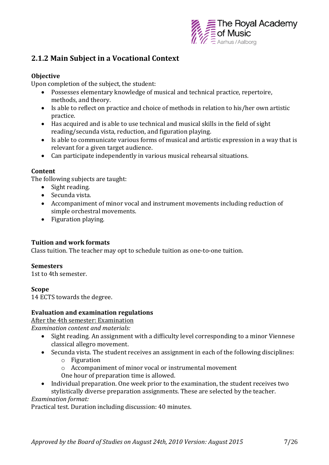

## **2.1.2 Main Subject in a Vocational Context**

#### **Objective**

Upon completion of the subject, the student:

- Possesses elementary knowledge of musical and technical practice, repertoire, methods, and theory.
- Is able to reflect on practice and choice of methods in relation to his/her own artistic practice.
- Has acquired and is able to use technical and musical skills in the field of sight reading/secunda vista, reduction, and figuration playing.
- Is able to communicate various forms of musical and artistic expression in a way that is relevant for a given target audience.
- Can participate independently in various musical rehearsal situations.

#### **Content**

The following subjects are taught:

- Sight reading.
- Secunda vista.
- Accompaniment of minor vocal and instrument movements including reduction of simple orchestral movements.
- Figuration playing.

#### **Tuition and work formats**

Class tuition. The teacher may opt to schedule tuition as one-to-one tuition.

#### **Semesters**

1st to 4th semester.

#### **Scope**

14 ECTS towards the degree.

#### **Evaluation and examination regulations**

After the 4th semester: Examination

*Examination content and materials:*

- Sight reading. An assignment with a difficulty level corresponding to a minor Viennese classical allegro movement.
- Secunda vista. The student receives an assignment in each of the following disciplines:
	- o Figuration
	- o Accompaniment of minor vocal or instrumental movement One hour of preparation time is allowed.
- Individual preparation. One week prior to the examination, the student receives two

stylistically diverse preparation assignments. These are selected by the teacher. *Examination format:*

Practical test. Duration including discussion: 40 minutes.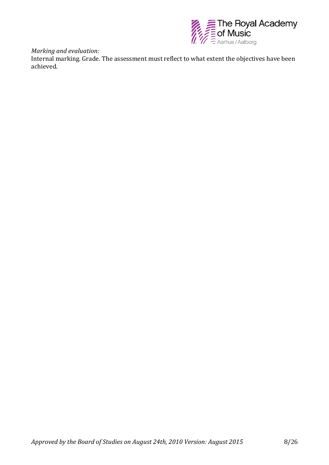

*Marking and evaluation:*

Internal marking. Grade. The assessment must reflect to what extent the objectives have been achieved.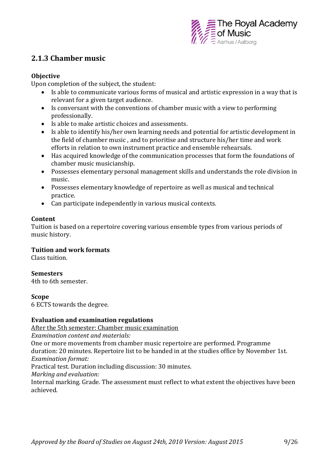

## **2.1.3 Chamber music**

#### **Objective**

Upon completion of the subject, the student:

- Is able to communicate various forms of musical and artistic expression in a way that is relevant for a given target audience.
- Is conversant with the conventions of chamber music with a view to performing professionally.
- Is able to make artistic choices and assessments.
- Is able to identify his/her own learning needs and potential for artistic development in the field of chamber music , and to prioritise and structure his/her time and work efforts in relation to own instrument practice and ensemble rehearsals.
- Has acquired knowledge of the communication processes that form the foundations of chamber music musicianship.
- Possesses elementary personal management skills and understands the role division in music.
- Possesses elementary knowledge of repertoire as well as musical and technical practice.
- Can participate independently in various musical contexts.

#### **Content**

Tuition is based on a repertoire covering various ensemble types from various periods of music history.

#### **Tuition and work formats**

Class tuition.

#### **Semesters**

4th to 6th semester.

#### **Scope**

6 ECTS towards the degree.

#### **Evaluation and examination regulations**

After the 5th semester: Chamber music examination

*Examination content and materials:*

One or more movements from chamber music repertoire are performed. Programme duration: 20 minutes. Repertoire list to be handed in at the studies office by November 1st. *Examination format:*

Practical test. Duration including discussion: 30 minutes.

*Marking and evaluation:*

Internal marking. Grade. The assessment must reflect to what extent the objectives have been achieved.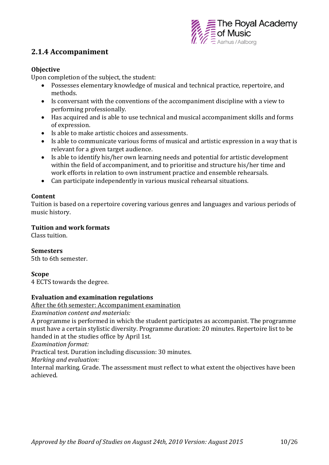

### **2.1.4 Accompaniment**

#### **Objective**

Upon completion of the subject, the student:

- Possesses elementary knowledge of musical and technical practice, repertoire, and methods.
- Is conversant with the conventions of the accompaniment discipline with a view to performing professionally.
- Has acquired and is able to use technical and musical accompaniment skills and forms of expression.
- Is able to make artistic choices and assessments.
- Is able to communicate various forms of musical and artistic expression in a way that is relevant for a given target audience.
- Is able to identify his/her own learning needs and potential for artistic development within the field of accompaniment, and to prioritise and structure his/her time and work efforts in relation to own instrument practice and ensemble rehearsals.
- Can participate independently in various musical rehearsal situations.

#### **Content**

Tuition is based on a repertoire covering various genres and languages and various periods of music history.

#### **Tuition and work formats**

Class tuition.

#### **Semesters**

5th to 6th semester.

#### **Scope**

4 ECTS towards the degree.

#### **Evaluation and examination regulations**

After the 6th semester: Accompaniment examination

*Examination content and materials:*

A programme is performed in which the student participates as accompanist. The programme must have a certain stylistic diversity. Programme duration: 20 minutes. Repertoire list to be handed in at the studies office by April 1st.

*Examination format:*

Practical test. Duration including discussion: 30 minutes.

*Marking and evaluation:* 

Internal marking. Grade. The assessment must reflect to what extent the objectives have been achieved.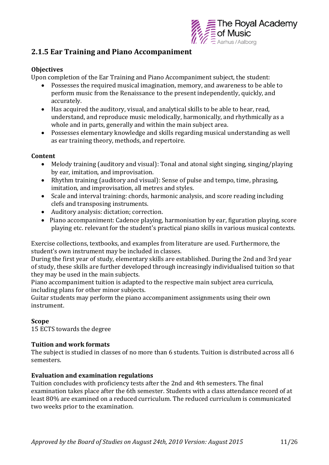

### **2.1.5 Ear Training and Piano Accompaniment**

#### **Objectives**

Upon completion of the Ear Training and Piano Accompaniment subject, the student:

- Possesses the required musical imagination, memory, and awareness to be able to perform music from the Renaissance to the present independently, quickly, and accurately.
- Has acquired the auditory, visual, and analytical skills to be able to hear, read, understand, and reproduce music melodically, harmonically, and rhythmically as a whole and in parts, generally and within the main subject area.
- Possesses elementary knowledge and skills regarding musical understanding as well as ear training theory, methods, and repertoire.

#### **Content**

- Melody training (auditory and visual): Tonal and atonal sight singing, singing/playing by ear, imitation, and improvisation.
- Rhythm training (auditory and visual): Sense of pulse and tempo, time, phrasing, imitation, and improvisation, all metres and styles.
- Scale and interval training: chords, harmonic analysis, and score reading including clefs and transposing instruments.
- Auditory analysis: dictation; correction.
- Piano accompaniment: Cadence playing, harmonisation by ear, figuration playing, score playing etc. relevant for the student's practical piano skills in various musical contexts.

Exercise collections, textbooks, and examples from literature are used. Furthermore, the student's own instrument may be included in classes.

During the first year of study, elementary skills are established. During the 2nd and 3rd year of study, these skills are further developed through increasingly individualised tuition so that they may be used in the main subjects.

Piano accompaniment tuition is adapted to the respective main subject area curricula, including plans for other minor subjects.

Guitar students may perform the piano accompaniment assignments using their own instrument.

#### **Scope**

15 ECTS towards the degree

#### **Tuition and work formats**

The subject is studied in classes of no more than 6 students. Tuition is distributed across all 6 semesters.

#### **Evaluation and examination regulations**

Tuition concludes with proficiency tests after the 2nd and 4th semesters. The final examination takes place after the 6th semester. Students with a class attendance record of at least 80% are examined on a reduced curriculum. The reduced curriculum is communicated two weeks prior to the examination.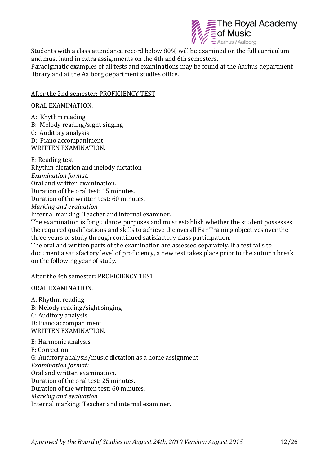

Students with a class attendance record below 80% will be examined on the full curriculum and must hand in extra assignments on the 4th and 6th semesters. Paradigmatic examples of all tests and examinations may be found at the Aarhus department library and at the Aalborg department studies office.

#### After the 2nd semester: PROFICIENCY TEST

#### ORAL EXAMINATION.

- A: Rhythm reading
- B: Melody reading/sight singing
- C: Auditory analysis

E: Reading test

D: Piano accompaniment WRITTEN EXAMINATION.

Rhythm dictation and melody dictation *Examination format:* Oral and written examination. Duration of the oral test: 15 minutes. Duration of the written test: 60 minutes. *Marking and evaluation* Internal marking: Teacher and internal examiner.

The examination is for guidance purposes and must establish whether the student possesses the required qualifications and skills to achieve the overall Ear Training objectives over the three years of study through continued satisfactory class participation.

The oral and written parts of the examination are assessed separately. If a test fails to document a satisfactory level of proficiency, a new test takes place prior to the autumn break on the following year of study.

#### After the 4th semester: PROFICIENCY TEST

#### ORAL EXAMINATION.

A: Rhythm reading B: Melody reading/sight singing C: Auditory analysis D: Piano accompaniment WRITTEN EXAMINATION.

E: Harmonic analysis F: Correction G: Auditory analysis/music dictation as a home assignment

*Examination format:* 

Oral and written examination.

Duration of the oral test: 25 minutes.

Duration of the written test: 60 minutes.

*Marking and evaluation*

Internal marking: Teacher and internal examiner.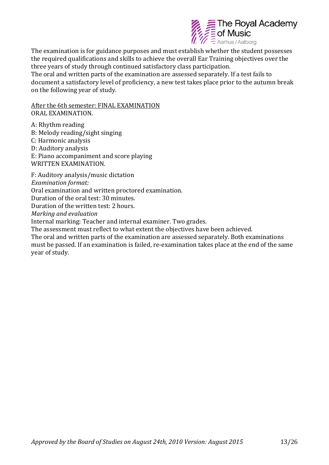

The examination is for guidance purposes and must establish whether the student possesses the required qualifications and skills to achieve the overall Ear Training objectives over the three years of study through continued satisfactory class participation. The oral and written parts of the examination are assessed separately. If a test fails to document a satisfactory level of proficiency, a new test takes place prior to the autumn break on the following year of study.

After the 6th semester: FINAL EXAMINATION ORAL EXAMINATION.

A: Rhythm reading B: Melody reading/sight singing C: Harmonic analysis D: Auditory analysis E: Piano accompaniment and score playing WRITTEN EXAMINATION. F: Auditory analysis/music dictation *Examination format:*  Oral examination and written proctored examination. Duration of the oral test: 30 minutes. Duration of the written test: 2 hours.

*Marking and evaluation*

Internal marking: Teacher and internal examiner. Two grades.

The assessment must reflect to what extent the objectives have been achieved.

The oral and written parts of the examination are assessed separately. Both examinations must be passed. If an examination is failed, re-examination takes place at the end of the same year of study.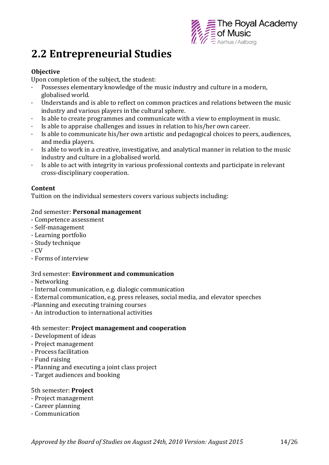

## **2.2 Entrepreneurial Studies**

#### **Objective**

Upon completion of the subject, the student:

- Possesses elementary knowledge of the music industry and culture in a modern, globalised world.
- · Understands and is able to reflect on common practices and relations between the music industry and various players in the cultural sphere.
- · Is able to create programmes and communicate with a view to employment in music.
- Is able to appraise challenges and issues in relation to his/her own career.
- · Is able to communicate his/her own artistic and pedagogical choices to peers, audiences, and media players.
- · Is able to work in a creative, investigative, and analytical manner in relation to the music industry and culture in a globalised world.
- · Is able to act with integrity in various professional contexts and participate in relevant cross-disciplinary cooperation.

#### **Content**

Tuition on the individual semesters covers various subjects including:

#### 2nd semester: **Personal management**

- Competence assessment
- Self-management
- Learning portfolio
- Study technique
- CV
- Forms of interview

#### 3rd semester: **Environment and communication**

- Networking
- Internal communication, e.g. dialogic communication
- External communication, e.g. press releases, social media, and elevator speeches
- -Planning and executing training courses
- An introduction to international activities

#### 4th semester: **Project management and cooperation**

- Development of ideas
- Project management
- Process facilitation
- Fund raising
- Planning and executing a joint class project
- Target audiences and booking

#### 5th semester: **Project**

- Project management
- Career planning
- Communication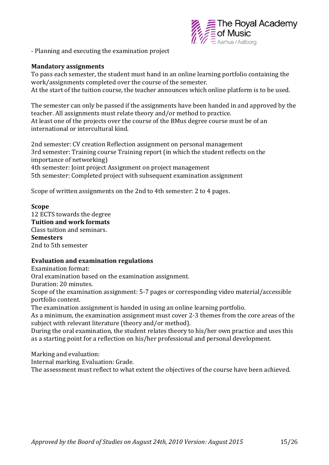

- Planning and executing the examination project

#### **Mandatory assignments**

To pass each semester, the student must hand in an online learning portfolio containing the work/assignments completed over the course of the semester. At the start of the tuition course, the teacher announces which online platform is to be used.

The semester can only be passed if the assignments have been handed in and approved by the teacher. All assignments must relate theory and/or method to practice. At least one of the projects over the course of the BMus degree course must be of an international or intercultural kind.

2nd semester: CV creation Reflection assignment on personal management 3rd semester: Training course Training report (in which the student reflects on the importance of networking) 4th semester: Joint project Assignment on project management 5th semester: Completed project with subsequent examination assignment

Scope of written assignments on the 2nd to 4th semester: 2 to 4 pages.

#### **Scope**

12 ECTS towards the degree **Tuition and work formats** Class tuition and seminars. **Semesters** 2nd to 5th semester

#### **Evaluation and examination regulations**

Examination format:

Oral examination based on the examination assignment.

Duration: 20 minutes.

Scope of the examination assignment: 5-7 pages or corresponding video material/accessible portfolio content.

The examination assignment is handed in using an online learning portfolio.

As a minimum, the examination assignment must cover 2-3 themes from the core areas of the subject with relevant literature (theory and/or method).

During the oral examination, the student relates theory to his/her own practice and uses this as a starting point for a reflection on his/her professional and personal development.

Marking and evaluation:

Internal marking. Evaluation: Grade.

The assessment must reflect to what extent the objectives of the course have been achieved.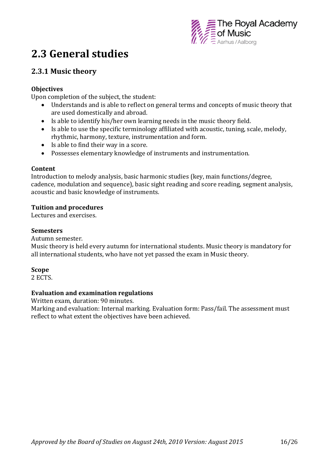

## **2.3 General studies**

## **2.3.1 Music theory**

#### **Objectives**

Upon completion of the subject, the student:

- Understands and is able to reflect on general terms and concepts of music theory that are used domestically and abroad.
- Is able to identify his/her own learning needs in the music theory field.
- Is able to use the specific terminology affiliated with acoustic, tuning, scale, melody, rhythmic, harmony, texture, instrumentation and form.
- Is able to find their way in a score.
- Possesses elementary knowledge of instruments and instrumentation.

#### **Content**

Introduction to melody analysis, basic harmonic studies (key, main functions/degree, cadence, modulation and sequence), basic sight reading and score reading, segment analysis, acoustic and basic knowledge of instruments.

#### **Tuition and procedures**

Lectures and exercises.

#### **Semesters**

Autumn semester.

Music theory is held every autumn for international students. Music theory is mandatory for all international students, who have not yet passed the exam in Music theory.

#### **Scope**

2 ECTS.

#### **Evaluation and examination regulations**

Written exam, duration: 90 minutes.

Marking and evaluation: Internal marking. Evaluation form: Pass/fail. The assessment must reflect to what extent the objectives have been achieved.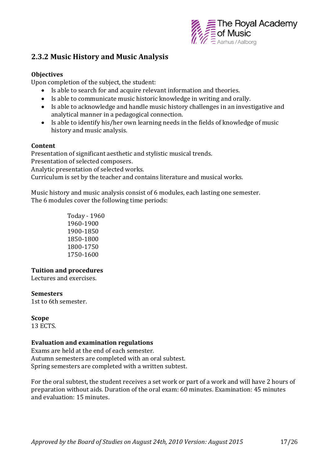

### **2.3.2 Music History and Music Analysis**

#### **Objectives**

Upon completion of the subject, the student:

- Is able to search for and acquire relevant information and theories.
- Is able to communicate music historic knowledge in writing and orally.
- Is able to acknowledge and handle music history challenges in an investigative and analytical manner in a pedagogical connection.
- Is able to identify his/her own learning needs in the fields of knowledge of music history and music analysis.

#### **Content**

Presentation of significant aesthetic and stylistic musical trends. Presentation of selected composers. Analytic presentation of selected works. Curriculum is set by the teacher and contains literature and musical works.

Music history and music analysis consist of 6 modules, each lasting one semester. The 6 modules cover the following time periods:

> Today - 1960 1960-1900 1900-1850 1850-1800 1800-1750 1750-1600

#### **Tuition and procedures**

Lectures and exercises.

#### **Semesters**

1st to 6th semester.

#### **Scope**

13 ECTS.

#### **Evaluation and examination regulations**

Exams are held at the end of each semester. Autumn semesters are completed with an oral subtest. Spring semesters are completed with a written subtest.

For the oral subtest, the student receives a set work or part of a work and will have 2 hours of preparation without aids. Duration of the oral exam: 60 minutes. Examination: 45 minutes and evaluation: 15 minutes.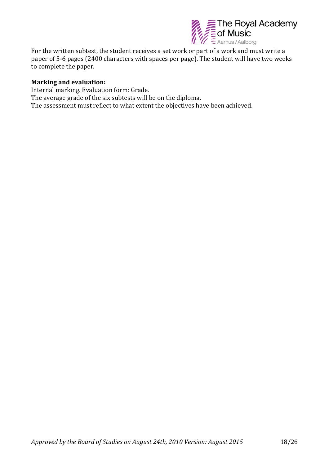

For the written subtest, the student receives a set work or part of a work and must write a paper of 5-6 pages (2400 characters with spaces per page). The student will have two weeks to complete the paper.

#### **Marking and evaluation:**

Internal marking. Evaluation form: Grade. The average grade of the six subtests will be on the diploma. The assessment must reflect to what extent the objectives have been achieved.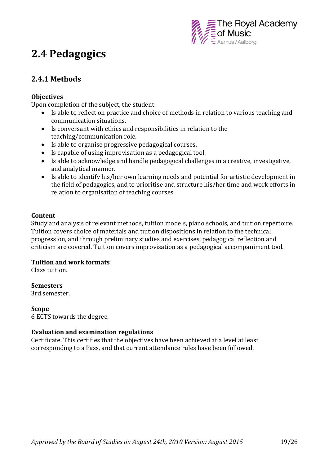

## **2.4 Pedagogics**

## **2.4.1 Methods**

#### **Objectives**

Upon completion of the subject, the student:

- Is able to reflect on practice and choice of methods in relation to various teaching and communication situations.
- Is conversant with ethics and responsibilities in relation to the teaching/communication role.
- Is able to organise progressive pedagogical courses.
- Is capable of using improvisation as a pedagogical tool.
- Is able to acknowledge and handle pedagogical challenges in a creative, investigative, and analytical manner.
- Is able to identify his/her own learning needs and potential for artistic development in the field of pedagogics, and to prioritise and structure his/her time and work efforts in relation to organisation of teaching courses.

#### **Content**

Study and analysis of relevant methods, tuition models, piano schools, and tuition repertoire. Tuition covers choice of materials and tuition dispositions in relation to the technical progression, and through preliminary studies and exercises, pedagogical reflection and criticism are covered. Tuition covers improvisation as a pedagogical accompaniment tool.

#### **Tuition and work formats**

Class tuition.

#### **Semesters**

3rd semester.

#### **Scope**

6 ECTS towards the degree.

#### **Evaluation and examination regulations**

Certificate. This certifies that the objectives have been achieved at a level at least corresponding to a Pass, and that current attendance rules have been followed.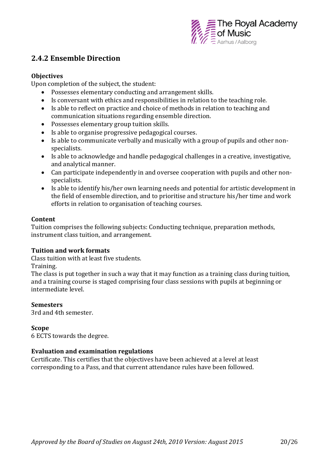

### **2.4.2 Ensemble Direction**

#### **Objectives**

Upon completion of the subject, the student:

- Possesses elementary conducting and arrangement skills.
- Is conversant with ethics and responsibilities in relation to the teaching role.
- Is able to reflect on practice and choice of methods in relation to teaching and communication situations regarding ensemble direction.
- Possesses elementary group tuition skills.
- Is able to organise progressive pedagogical courses.
- Is able to communicate verbally and musically with a group of pupils and other nonspecialists.
- Is able to acknowledge and handle pedagogical challenges in a creative, investigative, and analytical manner.
- Can participate independently in and oversee cooperation with pupils and other nonspecialists.
- Is able to identify his/her own learning needs and potential for artistic development in the field of ensemble direction, and to prioritise and structure his/her time and work efforts in relation to organisation of teaching courses.

#### **Content**

Tuition comprises the following subjects: Conducting technique, preparation methods, instrument class tuition, and arrangement.

#### **Tuition and work formats**

Class tuition with at least five students.

Training.

The class is put together in such a way that it may function as a training class during tuition, and a training course is staged comprising four class sessions with pupils at beginning or intermediate level.

#### **Semesters**

3rd and 4th semester.

#### **Scope**

6 ECTS towards the degree.

#### **Evaluation and examination regulations**

Certificate. This certifies that the objectives have been achieved at a level at least corresponding to a Pass, and that current attendance rules have been followed.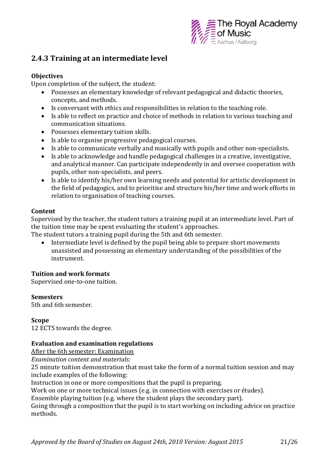

## **2.4.3 Training at an intermediate level**

#### **Objectives**

Upon completion of the subject, the student:

- Possesses an elementary knowledge of relevant pedagogical and didactic theories, concepts, and methods.
- Is conversant with ethics and responsibilities in relation to the teaching role.
- Is able to reflect on practice and choice of methods in relation to various teaching and communication situations.
- Possesses elementary tuition skills.
- Is able to organise progressive pedagogical courses.
- Is able to communicate verbally and musically with pupils and other non-specialists.
- Is able to acknowledge and handle pedagogical challenges in a creative, investigative, and analytical manner. Can participate independently in and oversee cooperation with pupils, other non-specialists, and peers.
- Is able to identify his/her own learning needs and potential for artistic development in the field of pedagogics, and to prioritise and structure his/her time and work efforts in relation to organisation of teaching courses.

#### **Content**

Supervised by the teacher, the student tutors a training pupil at an intermediate level. Part of the tuition time may be spent evaluating the student's approaches.

The student tutors a training pupil during the 5th and 6th semester.

• Intermediate level is defined by the pupil being able to prepare short movements unassisted and possessing an elementary understanding of the possibilities of the instrument.

#### **Tuition and work formats**

Supervised one-to-one tuition.

#### **Semesters**

5th and 6th semester.

#### **Scope**

12 ECTS towards the degree.

#### **Evaluation and examination regulations**

After the 6th semester: Examination

*Examination content and materials:*

25 minute tuition demonstration that must take the form of a normal tuition session and may include examples of the following:

Instruction in one or more compositions that the pupil is preparing.

Work on one or more technical issues (e.g. in connection with exercises or études).

Ensemble playing tuition (e.g. where the student plays the secondary part).

Going through a composition that the pupil is to start working on including advice on practice methods.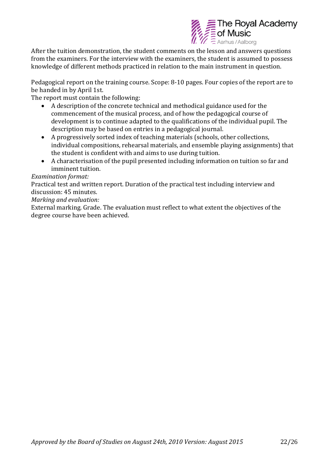

After the tuition demonstration, the student comments on the lesson and answers questions from the examiners. For the interview with the examiners, the student is assumed to possess knowledge of different methods practiced in relation to the main instrument in question.

Pedagogical report on the training course. Scope: 8-10 pages. Four copies of the report are to be handed in by April 1st.

The report must contain the following:

- A description of the concrete technical and methodical guidance used for the commencement of the musical process, and of how the pedagogical course of development is to continue adapted to the qualifications of the individual pupil. The description may be based on entries in a pedagogical journal.
- A progressively sorted index of teaching materials (schools, other collections, individual compositions, rehearsal materials, and ensemble playing assignments) that the student is confident with and aims to use during tuition.
- A characterisation of the pupil presented including information on tuition so far and imminent tuition.

*Examination format:* 

Practical test and written report. Duration of the practical test including interview and discussion: 45 minutes.

*Marking and evaluation:*

External marking. Grade. The evaluation must reflect to what extent the objectives of the degree course have been achieved.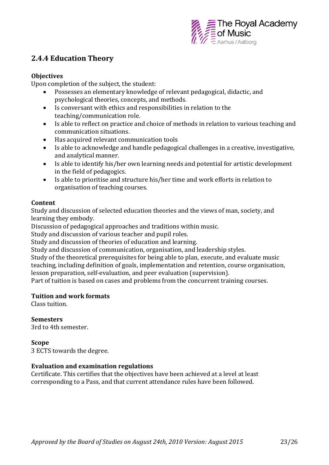

### **2.4.4 Education Theory**

#### **Objectives**

Upon completion of the subject, the student:

- Possesses an elementary knowledge of relevant pedagogical, didactic, and psychological theories, concepts, and methods.
- Is conversant with ethics and responsibilities in relation to the teaching/communication role.
- Is able to reflect on practice and choice of methods in relation to various teaching and communication situations.
- Has acquired relevant communication tools
- Is able to acknowledge and handle pedagogical challenges in a creative, investigative, and analytical manner.
- Is able to identify his/her own learning needs and potential for artistic development in the field of pedagogics.
- Is able to prioritise and structure his/her time and work efforts in relation to organisation of teaching courses.

#### **Content**

Study and discussion of selected education theories and the views of man, society, and learning they embody.

Discussion of pedagogical approaches and traditions within music.

Study and discussion of various teacher and pupil roles.

Study and discussion of theories of education and learning.

Study and discussion of communication, organisation, and leadership styles.

Study of the theoretical prerequisites for being able to plan, execute, and evaluate music teaching, including definition of goals, implementation and retention, course organisation, lesson preparation, self-evaluation, and peer evaluation (supervision).

Part of tuition is based on cases and problems from the concurrent training courses.

#### **Tuition and work formats**

Class tuition.

#### **Semesters**

3rd to 4th semester.

#### **Scope**

3 ECTS towards the degree.

#### **Evaluation and examination regulations**

Certificate. This certifies that the objectives have been achieved at a level at least corresponding to a Pass, and that current attendance rules have been followed.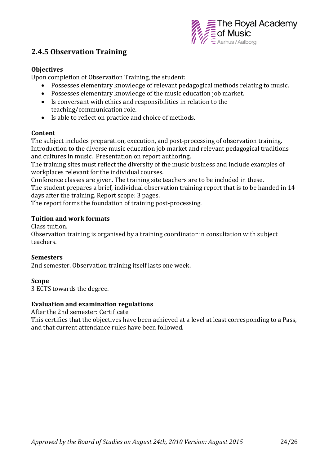

## **2.4.5 Observation Training**

#### **Objectives**

Upon completion of Observation Training, the student:

- Possesses elementary knowledge of relevant pedagogical methods relating to music.
- Possesses elementary knowledge of the music education job market.
- Is conversant with ethics and responsibilities in relation to the teaching/communication role.
- Is able to reflect on practice and choice of methods.

#### **Content**

The subject includes preparation, execution, and post-processing of observation training. Introduction to the diverse music education job market and relevant pedagogical traditions and cultures in music. Presentation on report authoring.

The training sites must reflect the diversity of the music business and include examples of workplaces relevant for the individual courses.

Conference classes are given. The training site teachers are to be included in these. The student prepares a brief, individual observation training report that is to be handed in 14 days after the training. Report scope: 3 pages.

The report forms the foundation of training post-processing.

#### **Tuition and work formats**

Class tuition.

Observation training is organised by a training coordinator in consultation with subject teachers.

#### **Semesters**

2nd semester. Observation training itself lasts one week.

#### **Scope**

3 ECTS towards the degree.

#### **Evaluation and examination regulations**

After the 2nd semester: Certificate

This certifies that the objectives have been achieved at a level at least corresponding to a Pass, and that current attendance rules have been followed.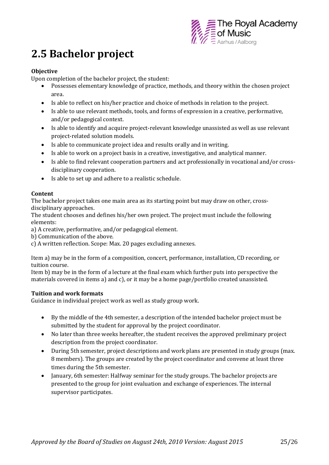

## **2.5 Bachelor project**

#### **Objective**

Upon completion of the bachelor project, the student:

- Possesses elementary knowledge of practice, methods, and theory within the chosen project area.
- Is able to reflect on his/her practice and choice of methods in relation to the project.
- Is able to use relevant methods, tools, and forms of expression in a creative, performative, and/or pedagogical context.
- Is able to identify and acquire project-relevant knowledge unassisted as well as use relevant project-related solution models.
- Is able to communicate project idea and results orally and in writing.
- Is able to work on a project basis in a creative, investigative, and analytical manner.
- Is able to find relevant cooperation partners and act professionally in vocational and/or crossdisciplinary cooperation.
- Is able to set up and adhere to a realistic schedule.

#### **Content**

The bachelor project takes one main area as its starting point but may draw on other, crossdisciplinary approaches.

The student chooses and defines his/her own project. The project must include the following elements:

a) A creative, performative, and/or pedagogical element.

b) Communication of the above.

c) A written reflection. Scope: Max. 20 pages excluding annexes.

Item a) may be in the form of a composition, concert, performance, installation, CD recording, or tuition course.

Item b) may be in the form of a lecture at the final exam which further puts into perspective the materials covered in items a) and c), or it may be a home page/portfolio created unassisted.

#### **Tuition and work formats**

Guidance in individual project work as well as study group work.

- By the middle of the 4th semester, a description of the intended bachelor project must be submitted by the student for approval by the project coordinator.
- No later than three weeks hereafter, the student receives the approved preliminary project description from the project coordinator.
- During 5th semester, project descriptions and work plans are presented in study groups (max. 8 members). The groups are created by the project coordinator and convene at least three times during the 5th semester.
- January, 6th semester: Halfway seminar for the study groups. The bachelor projects are presented to the group for joint evaluation and exchange of experiences. The internal supervisor participates.